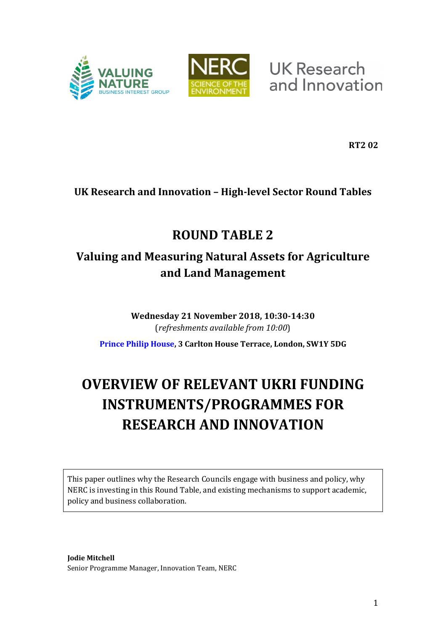



**UK Research** and Innovation

**RT2 02**

### **UK Research and Innovation – High-level Sector Round Tables**

## **ROUND TABLE 2**

## **Valuing and Measuring Natural Assets for Agriculture and Land Management**

**Wednesday 21 November 2018, 10:30-14:30** (*refreshments available from 10:00*)

**[Prince Philip House,](https://www.princephiliphouse.com/) 3 Carlton House Terrace, London, SW1Y 5DG**

# **OVERVIEW OF RELEVANT UKRI FUNDING INSTRUMENTS/PROGRAMMES FOR RESEARCH AND INNOVATION**

This paper outlines why the Research Councils engage with business and policy, why NERC is investing in this Round Table, and existing mechanisms to support academic, policy and business collaboration.

**Jodie Mitchell** Senior Programme Manager, Innovation Team, NERC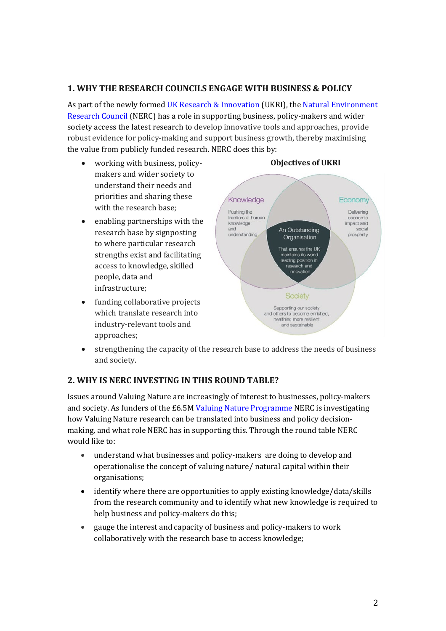### **1. WHY THE RESEARCH COUNCILS ENGAGE WITH BUSINESS & POLICY**

As part of the newly formed [UK Research & Innovation](https://www.ukri.org/) (UKRI), the [Natural Environment](https://nerc.ukri.org/innovation)  [Research Council](https://nerc.ukri.org/innovation) (NERC) has a role in supporting business, policy-makers and wider society access the latest research to develop innovative tools and approaches, provide robust evidence for policy-making and support business growth, thereby maximising the value from publicly funded research. NERC does this by:

- working with business, policymakers and wider society to understand their needs and priorities and sharing these with the research base;
- enabling partnerships with the research base by signposting to where particular research strengths exist and facilitating access to knowledge, skilled people, data and infrastructure;
- funding collaborative projects which translate research into industry-relevant tools and approaches;



• strengthening the capacity of the research base to address the needs of business and society.

#### **2. WHY IS NERC INVESTING IN THIS ROUND TABLE?**

Issues around Valuing Nature are increasingly of interest to businesses, policy-makers and society. As funders of the £6.5[M Valuing Nature Programme](https://nerc.ukri.org/research/funded/programmes/valuingnature/) NERC is investigating how Valuing Nature research can be translated into business and policy decisionmaking, and what role NERC has in supporting this. Through the round table NERC would like to:

- understand what businesses and policy-makers are doing to develop and operationalise the concept of valuing nature/ natural capital within their organisations;
- identify where there are opportunities to apply existing knowledge/data/skills from the research community and to identify what new knowledge is required to help business and policy-makers do this;
- gauge the interest and capacity of business and policy-makers to work collaboratively with the research base to access knowledge;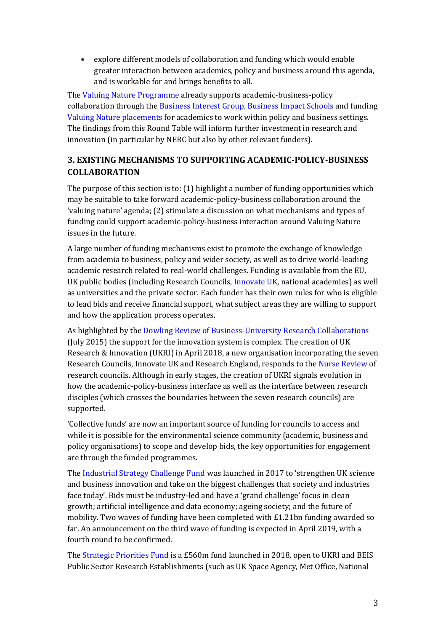• explore different models of collaboration and funding which would enable greater interaction between academics, policy and business around this agenda, and is workable for and brings benefits to all.

Th[e Valuing Nature Programme](http://valuing-nature.net/) already supports academic-business-policy collaboration through the [Business Interest Group,](http://valuing-nature.net/business-interest-group) [Business Impact Schools](http://valuing-nature.net/valuing-nature-business-impact-schools) and funding [Valuing Nature placements](http://valuing-nature.net/valuing-nature-placements-round-3-november-2017-march-2018) for academics to work within policy and business settings. The findings from this Round Table will inform further investment in research and innovation (in particular by NERC but also by other relevant funders).

### **3. EXISTING MECHANISMS TO SUPPORTING ACADEMIC-POLICY-BUSINESS COLLABORATION**

The purpose of this section is to: (1) highlight a number of funding opportunities which may be suitable to take forward academic-policy-business collaboration around the 'valuing nature' agenda; (2) stimulate a discussion on what mechanisms and types of funding could support academic-policy-business interaction around Valuing Nature issues in the future.

A large number of funding mechanisms exist to promote the exchange of knowledge from academia to business, policy and wider society, as well as to drive world-leading academic research related to real-world challenges. Funding is available from the EU, UK public bodies (including Research Councils, [Innovate UK,](https://www.gov.uk/guidance/innovation-apply-for-a-funding-award) national academies) as well as universities and the private sector. Each funder has their own rules for who is eligible to lead bids and receive financial support, what subject areas they are willing to support and how the application process operates.

As highlighted by the [Dowling Review of Business-University Research Collaborations](https://www.gov.uk/government/publications/business-university-research-collaborations-dowling-review-final-report) (July 2015) the support for the innovation system is complex. The creation of UK Research & Innovation (UKRI) in April 2018, a new organisation incorporating the seven Research Councils, Innovate UK and Research England, responds to the [Nurse Review](https://www.gov.uk/government/publications/nurse-review-of-research-councils-recommendations) of research councils. Although in early stages, the creation of UKRI signals evolution in how the academic-policy-business interface as well as the interface between research disciples (which crosses the boundaries between the seven research councils) are supported.

'Collective funds' are now an important source of funding for councils to access and while it is possible for the environmental science community (academic, business and policy organisations) to scope and develop bids, the key opportunities for engagement are through the funded programmes.

Th[e Industrial Strategy Challenge Fund](https://www.ukri.org/innovation/industrial-strategy-challenge-fund/) was launched in 2017 to 'strengthen UK science and business innovation and take on the biggest challenges that society and industries face today'. Bids must be industry-led and have a 'grand challenge' focus in clean growth; artificial intelligence and data economy; ageing society; and the future of mobility. Two waves of funding have been completed with £1.21bn funding awarded so far. An announcement on the third wave of funding is expected in April 2019, with a fourth round to be confirmed.

Th[e Strategic Priorities Fund](https://www.ukri.org/news/uk-research-and-innovation-launches-major-programmes-to-tackle-climate-change-and-drive-clean-growth/?utm_source=Twitter%2C+LinkedIn&utm_medium=social&utm_campaign=SocialSignIn&utm_term=UKRI_Climate) is a £560m fund launched in 2018, open to UKRI and BEIS Public Sector Research Establishments (such as UK Space Agency, Met Office, National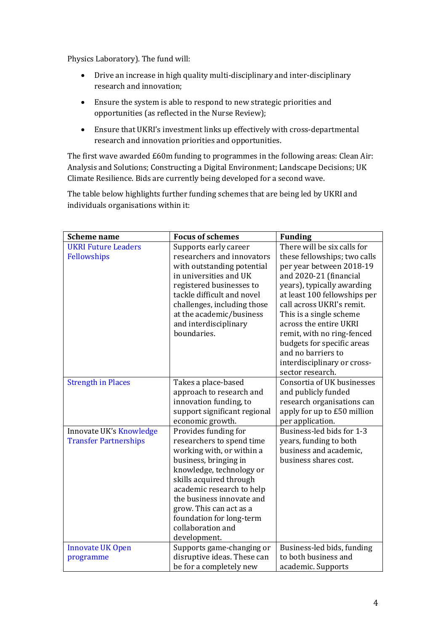Physics Laboratory). The fund will:

- Drive an increase in high quality multi-disciplinary and inter-disciplinary research and innovation;
- Ensure the system is able to respond to new strategic priorities and opportunities (as reflected in the Nurse Review);
- Ensure that UKRI's investment links up effectively with cross-departmental research and innovation priorities and opportunities.

The first wave awarded £60m funding to programmes in the following areas: Clean Air: Analysis and Solutions; Constructing a Digital Environment; Landscape Decisions; UK Climate Resilience. Bids are currently being developed for a second wave.

The table below highlights further funding schemes that are being led by UKRI and individuals organisations within it:

| <b>Scheme name</b>                                      | <b>Focus of schemes</b>                                                                                                                                                                                                                                                                                              | <b>Funding</b>                                                                                                                                                                                                                                                                                                                                                                                         |
|---------------------------------------------------------|----------------------------------------------------------------------------------------------------------------------------------------------------------------------------------------------------------------------------------------------------------------------------------------------------------------------|--------------------------------------------------------------------------------------------------------------------------------------------------------------------------------------------------------------------------------------------------------------------------------------------------------------------------------------------------------------------------------------------------------|
| <b>UKRI Future Leaders</b><br>Fellowships               | Supports early career<br>researchers and innovators<br>with outstanding potential<br>in universities and UK<br>registered businesses to<br>tackle difficult and novel<br>challenges, including those<br>at the academic/business<br>and interdisciplinary<br>boundaries.                                             | There will be six calls for<br>these fellowships; two calls<br>per year between 2018-19<br>and 2020-21 (financial<br>years), typically awarding<br>at least 100 fellowships per<br>call across UKRI's remit.<br>This is a single scheme<br>across the entire UKRI<br>remit, with no ring-fenced<br>budgets for specific areas<br>and no barriers to<br>interdisciplinary or cross-<br>sector research. |
| <b>Strength in Places</b>                               | Takes a place-based<br>approach to research and<br>innovation funding, to<br>support significant regional<br>economic growth.                                                                                                                                                                                        | Consortia of UK businesses<br>and publicly funded<br>research organisations can<br>apply for up to £50 million<br>per application.                                                                                                                                                                                                                                                                     |
| Innovate UK's Knowledge<br><b>Transfer Partnerships</b> | Provides funding for<br>researchers to spend time<br>working with, or within a<br>business, bringing in<br>knowledge, technology or<br>skills acquired through<br>academic research to help<br>the business innovate and<br>grow. This can act as a<br>foundation for long-term<br>collaboration and<br>development. | Business-led bids for 1-3<br>years, funding to both<br>business and academic,<br>business shares cost.                                                                                                                                                                                                                                                                                                 |
| <b>Innovate UK Open</b><br>programme                    | Supports game-changing or<br>disruptive ideas. These can<br>be for a completely new                                                                                                                                                                                                                                  | Business-led bids, funding<br>to both business and<br>academic. Supports                                                                                                                                                                                                                                                                                                                               |